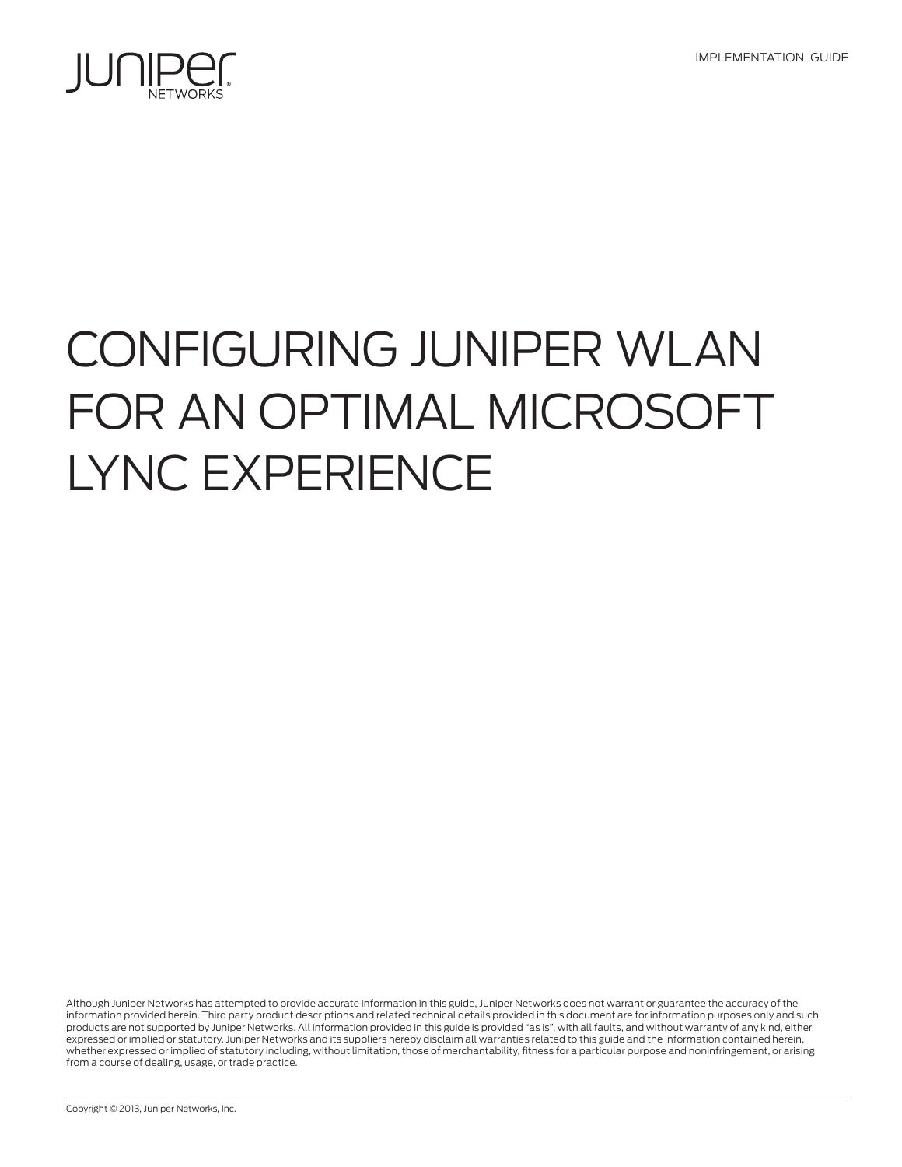IMPLEMENTATION GUIDE



# Configuring Juniper WLAN for an Optimal Microsoft Lync Experience

Although Juniper Networks has attempted to provide accurate information in this guide, Juniper Networks does not warrant or guarantee the accuracy of the information provided herein. Third party product descriptions and related technical details provided in this document are for information purposes only and such products are not supported by Juniper Networks. All information provided in this guide is provided "as is", with all faults, and without warranty of any kind, either expressed or implied or statutory. Juniper Networks and its suppliers hereby disclaim all warranties related to this guide and the information contained herein, whether expressed or implied of statutory including, without limitation, those of merchantability, fitness for a particular purpose and noninfringement, or arising from a course of dealing, usage, or trade practice.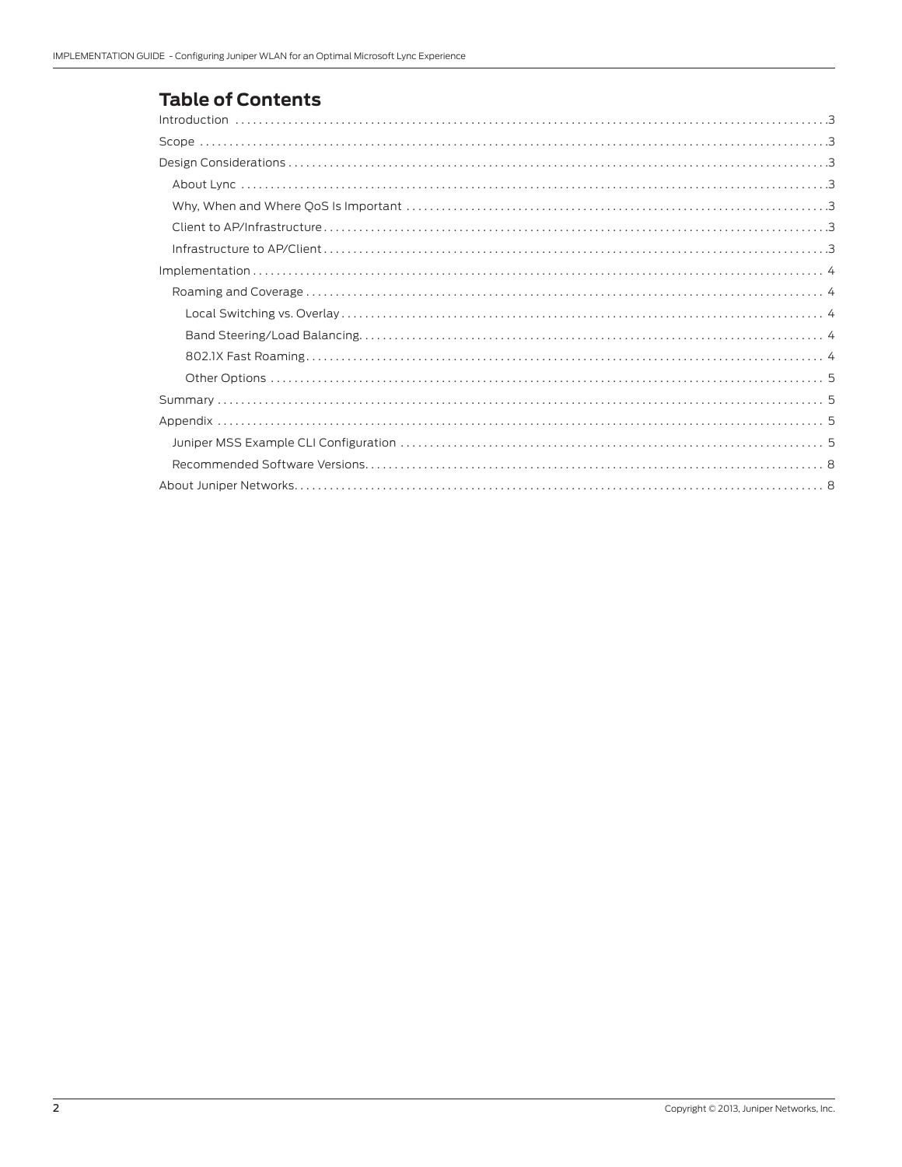# **Table of Contents**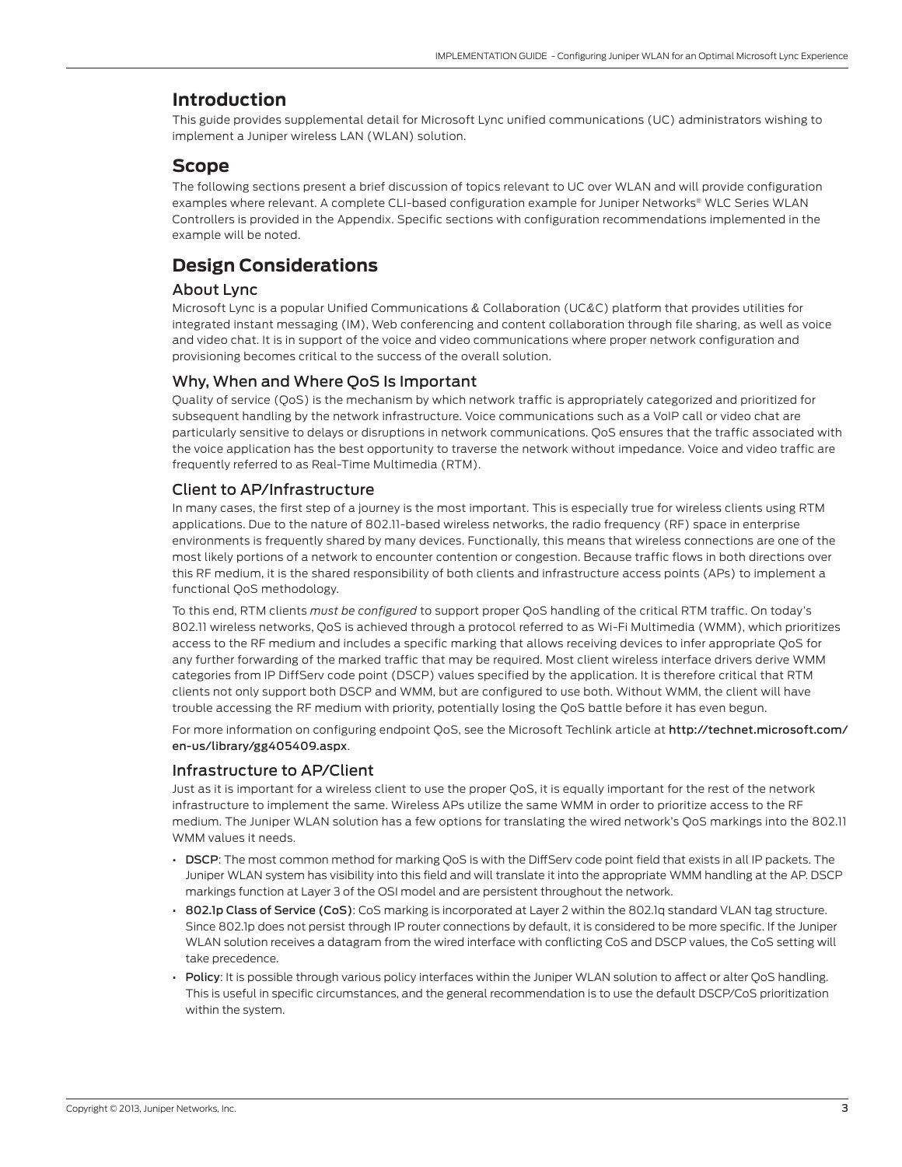# <span id="page-2-0"></span>**Introduction**

This guide provides supplemental detail for Microsoft Lync unified communications (UC) administrators wishing to implement a Juniper wireless LAN (WLAN) solution.

## **Scope**

The following sections present a brief discussion of topics relevant to UC over WLAN and will provide configuration examples where relevant. A complete CLI-based configuration example for Juniper Networks® WLC Series WLAN Controllers is provided in the Appendix. Specific sections with configuration recommendations implemented in the example will be noted.

# **Design Considerations**

## About Lync

Microsoft Lync is a popular Unified Communications & Collaboration (UC&C) platform that provides utilities for integrated instant messaging (IM), Web conferencing and content collaboration through file sharing, as well as voice and video chat. It is in support of the voice and video communications where proper network configuration and provisioning becomes critical to the success of the overall solution.

## Why, When and Where QoS Is Important

Quality of service (QoS) is the mechanism by which network traffic is appropriately categorized and prioritized for subsequent handling by the network infrastructure. Voice communications such as a VoIP call or video chat are particularly sensitive to delays or disruptions in network communications. QoS ensures that the traffic associated with the voice application has the best opportunity to traverse the network without impedance. Voice and video traffic are frequently referred to as Real-Time Multimedia (RTM).

## Client to AP/Infrastructure

In many cases, the first step of a journey is the most important. This is especially true for wireless clients using RTM applications. Due to the nature of 802.11-based wireless networks, the radio frequency (RF) space in enterprise environments is frequently shared by many devices. Functionally, this means that wireless connections are one of the most likely portions of a network to encounter contention or congestion. Because traffic flows in both directions over this RF medium, it is the shared responsibility of both clients and infrastructure access points (APs) to implement a functional QoS methodology.

To this end, RTM clients *must be configured* to support proper QoS handling of the critical RTM traffic. On today's 802.11 wireless networks, QoS is achieved through a protocol referred to as Wi-Fi Multimedia (WMM), which prioritizes access to the RF medium and includes a specific marking that allows receiving devices to infer appropriate QoS for any further forwarding of the marked traffic that may be required. Most client wireless interface drivers derive WMM categories from IP DiffServ code point (DSCP) values specified by the application. It is therefore critical that RTM clients not only support both DSCP and WMM, but are configured to use both. Without WMM, the client will have trouble accessing the RF medium with priority, potentially losing the QoS battle before it has even begun.

For more information on configuring endpoint QoS, see the Microsoft Techlink article at http://technet.microsoft.com/ en-us/library/gg405409.aspx.

## Infrastructure to AP/Client

Just as it is important for a wireless client to use the proper QoS, it is equally important for the rest of the network infrastructure to implement the same. Wireless APs utilize the same WMM in order to prioritize access to the RF medium. The Juniper WLAN solution has a few options for translating the wired network's QoS markings into the 802.11 WMM values it needs.

- DSCP: The most common method for marking QoS is with the DiffServ code point field that exists in all IP packets. The Juniper WLAN system has visibility into this field and will translate it into the appropriate WMM handling at the AP. DSCP markings function at Layer 3 of the OSI model and are persistent throughout the network.
- 802.1p Class of Service (CoS): CoS marking is incorporated at Layer 2 within the 802.1q standard VLAN tag structure. Since 802.1p does not persist through IP router connections by default, it is considered to be more specific. If the Juniper WLAN solution receives a datagram from the wired interface with conflicting CoS and DSCP values, the CoS setting will take precedence.
- Policy: It is possible through various policy interfaces within the Juniper WLAN solution to affect or alter QoS handling. This is useful in specific circumstances, and the general recommendation is to use the default DSCP/CoS prioritization within the system.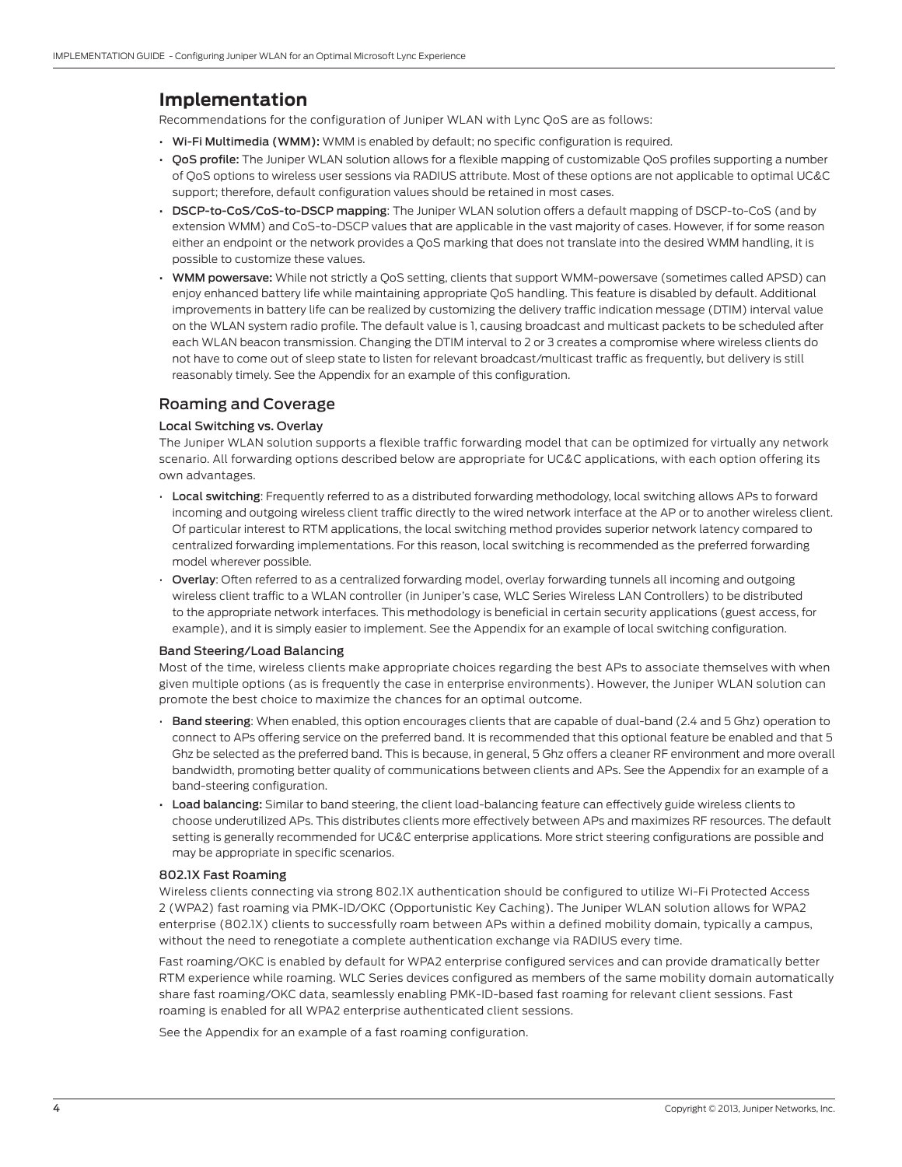## <span id="page-3-0"></span>**Implementation**

Recommendations for the configuration of Juniper WLAN with Lync QoS are as follows:

- Wi-Fi Multimedia (WMM): WMM is enabled by default; no specific configuration is required.
- OoS profile: The Juniper WLAN solution allows for a flexible mapping of customizable QoS profiles supporting a number of QoS options to wireless user sessions via RADIUS attribute. Most of these options are not applicable to optimal UC&C support; therefore, default configuration values should be retained in most cases.
- DSCP-to-CoS/CoS-to-DSCP mapping: The Juniper WLAN solution offers a default mapping of DSCP-to-CoS (and by extension WMM) and CoS-to-DSCP values that are applicable in the vast majority of cases. However, if for some reason either an endpoint or the network provides a QoS marking that does not translate into the desired WMM handling, it is possible to customize these values.
- WMM powersave: While not strictly a QoS setting, clients that support WMM-powersave (sometimes called APSD) can enjoy enhanced battery life while maintaining appropriate QoS handling. This feature is disabled by default. Additional improvements in battery life can be realized by customizing the delivery traffic indication message (DTIM) interval value on the WLAN system radio profile. The default value is 1, causing broadcast and multicast packets to be scheduled after each WLAN beacon transmission. Changing the DTIM interval to 2 or 3 creates a compromise where wireless clients do not have to come out of sleep state to listen for relevant broadcast/multicast traffic as frequently, but delivery is still reasonably timely. See the Appendix for an example of this configuration.

## Roaming and Coverage

#### Local Switching vs. Overlay

The Juniper WLAN solution supports a flexible traffic forwarding model that can be optimized for virtually any network scenario. All forwarding options described below are appropriate for UC&C applications, with each option offering its own advantages.

- Local switching: Frequently referred to as a distributed forwarding methodology, local switching allows APs to forward incoming and outgoing wireless client traffic directly to the wired network interface at the AP or to another wireless client. Of particular interest to RTM applications, the local switching method provides superior network latency compared to centralized forwarding implementations. For this reason, local switching is recommended as the preferred forwarding model wherever possible.
- Overlay: Often referred to as a centralized forwarding model, overlay forwarding tunnels all incoming and outgoing wireless client traffic to a WLAN controller (in Juniper's case, WLC Series Wireless LAN Controllers) to be distributed to the appropriate network interfaces. This methodology is beneficial in certain security applications (guest access, for example), and it is simply easier to implement. See the Appendix for an example of local switching configuration.

#### Band Steering/Load Balancing

Most of the time, wireless clients make appropriate choices regarding the best APs to associate themselves with when given multiple options (as is frequently the case in enterprise environments). However, the Juniper WLAN solution can promote the best choice to maximize the chances for an optimal outcome.

- Band steering: When enabled, this option encourages clients that are capable of dual-band (2.4 and 5 Ghz) operation to connect to APs offering service on the preferred band. It is recommended that this optional feature be enabled and that 5 Ghz be selected as the preferred band. This is because, in general, 5 Ghz offers a cleaner RF environment and more overall bandwidth, promoting better quality of communications between clients and APs. See the Appendix for an example of a band-steering configuration.
- Load balancing: Similar to band steering, the client load-balancing feature can effectively guide wireless clients to choose underutilized APs. This distributes clients more effectively between APs and maximizes RF resources. The default setting is generally recommended for UC&C enterprise applications. More strict steering configurations are possible and may be appropriate in specific scenarios.

#### 802.1X Fast Roaming

Wireless clients connecting via strong 802.1X authentication should be configured to utilize Wi-Fi Protected Access 2 (WPA2) fast roaming via PMK-ID/OKC (Opportunistic Key Caching). The Juniper WLAN solution allows for WPA2 enterprise (802.1X) clients to successfully roam between APs within a defined mobility domain, typically a campus, without the need to renegotiate a complete authentication exchange via RADIUS every time.

Fast roaming/OKC is enabled by default for WPA2 enterprise configured services and can provide dramatically better RTM experience while roaming. WLC Series devices configured as members of the same mobility domain automatically share fast roaming/OKC data, seamlessly enabling PMK-ID-based fast roaming for relevant client sessions. Fast roaming is enabled for all WPA2 enterprise authenticated client sessions.

See the Appendix for an example of a fast roaming configuration.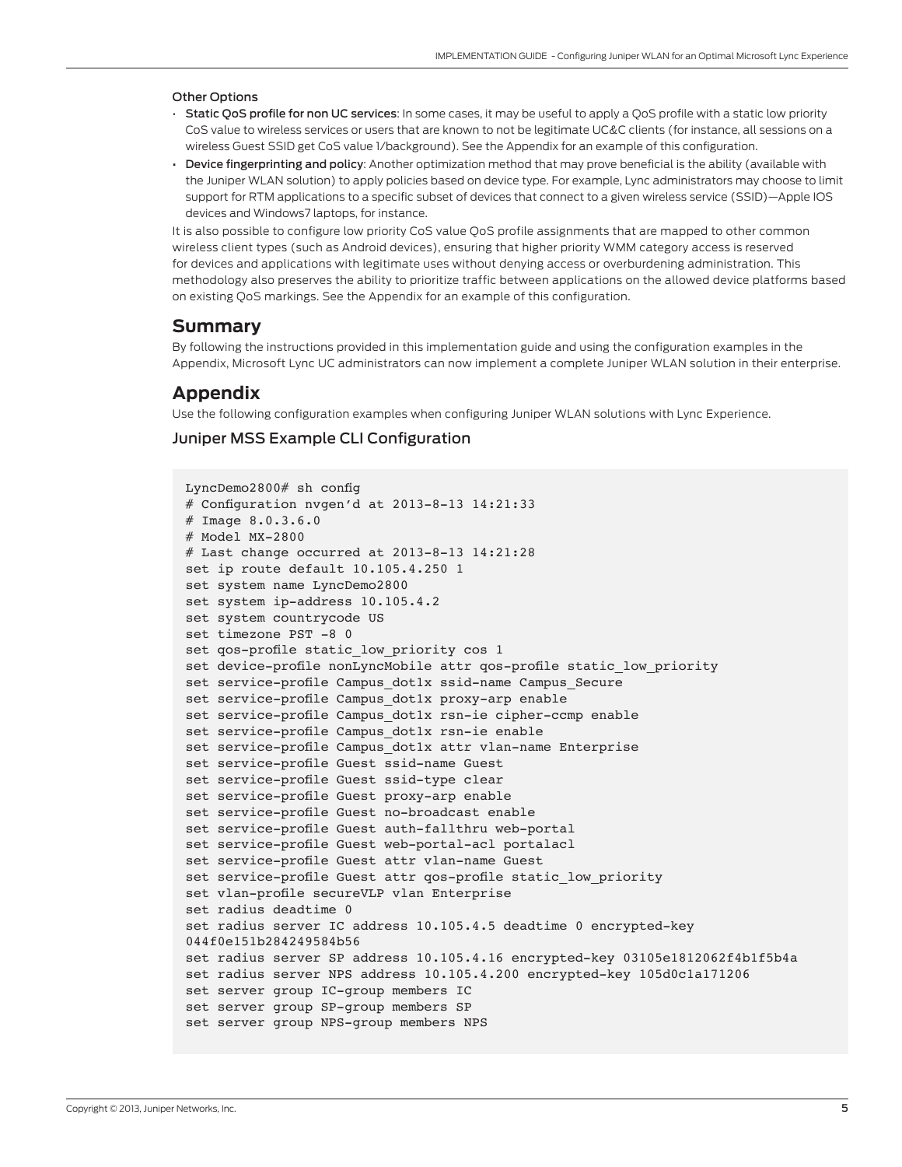#### <span id="page-4-0"></span>Other Options

- Static QoS profile for non UC services: In some cases, it may be useful to apply a QoS profile with a static low priority CoS value to wireless services or users that are known to not be legitimate UC&C clients (for instance, all sessions on a wireless Guest SSID get CoS value 1/background). See the Appendix for an example of this configuration.
- Device fingerprinting and policy: Another optimization method that may prove beneficial is the ability (available with the Juniper WLAN solution) to apply policies based on device type. For example, Lync administrators may choose to limit support for RTM applications to a specific subset of devices that connect to a given wireless service (SSID)—Apple IOS devices and Windows7 laptops, for instance.

It is also possible to configure low priority CoS value QoS profile assignments that are mapped to other common wireless client types (such as Android devices), ensuring that higher priority WMM category access is reserved for devices and applications with legitimate uses without denying access or overburdening administration. This methodology also preserves the ability to prioritize traffic between applications on the allowed device platforms based on existing QoS markings. See the Appendix for an example of this configuration.

## **Summary**

By following the instructions provided in this implementation guide and using the configuration examples in the Appendix, Microsoft Lync UC administrators can now implement a complete Juniper WLAN solution in their enterprise.

## **Appendix**

Use the following configuration examples when configuring Juniper WLAN solutions with Lync Experience.

## Juniper MSS Example CLI Configuration

```
LyncDemo2800# sh config
# Configuration nvgen'd at 2013-8-13 14:21:33
# Image 8.0.3.6.0
# Model MX-2800
# Last change occurred at 2013-8-13 14:21:28
set ip route default 10.105.4.250 1
set system name LyncDemo2800
set system ip-address 10.105.4.2
set system countrycode US
set timezone PST -8 0
set qos-profile static low priority cos 1
set device-profile nonLyncMobile attr qos-profile static_low_priority
set service-profile Campus dot1x ssid-name Campus Secure
set service-profile Campus dot1x proxy-arp enable
set service-profile Campus_dot1x rsn-ie cipher-ccmp enable
set service-profile Campus dot1x rsn-ie enable
set service-profile Campus dot1x attr vlan-name Enterprise
set service-profile Guest ssid-name Guest
set service-profile Guest ssid-type clear
set service-profile Guest proxy-arp enable
set service-profile Guest no-broadcast enable
set service-profile Guest auth-fallthru web-portal
set service-profile Guest web-portal-acl portalacl
set service-profile Guest attr vlan-name Guest
set service-profile Guest attr qos-profile static low priority
set vlan-profile secureVLP vlan Enterprise 
set radius deadtime 0
set radius server IC address 10.105.4.5 deadtime 0 encrypted-key 
044f0e151b284249584b56
set radius server SP address 10.105.4.16 encrypted-key 03105e1812062f4b1f5b4a
set radius server NPS address 10.105.4.200 encrypted-key 105d0c1a171206
set server group IC-group members IC
set server group SP-group members SP
set server group NPS-group members NPS
```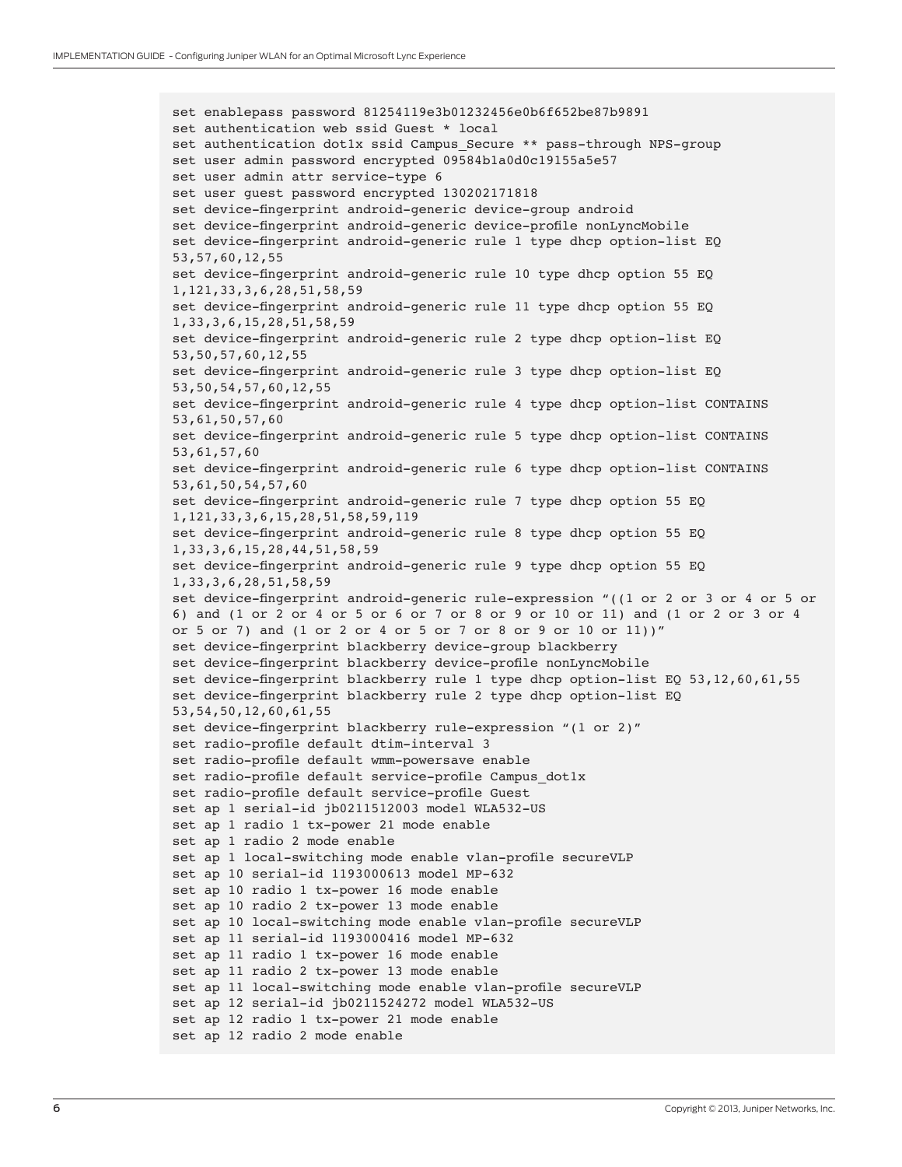set enablepass password 81254119e3b01232456e0b6f652be87b9891 set authentication web ssid Guest \* local set authentication dot1x ssid Campus Secure \*\* pass-through NPS-group set user admin password encrypted 09584b1a0d0c19155a5e57 set user admin attr service-type 6 set user guest password encrypted 130202171818 set device-fingerprint android-generic device-group android set device-fingerprint android-generic device-profile nonLyncMobile set device-fingerprint android-generic rule 1 type dhcp option-list EQ 53,57,60,12,55 set device-fingerprint android-generic rule 10 type dhcp option 55 EQ 1,121,33,3,6,28,51,58,59 set device-fingerprint android-generic rule 11 type dhcp option 55 EQ 1,33,3,6,15,28,51,58,59 set device-fingerprint android-generic rule 2 type dhcp option-list EQ 53,50,57,60,12,55 set device-fingerprint android-generic rule 3 type dhcp option-list EQ 53,50,54,57,60,12,55 set device-fingerprint android-generic rule 4 type dhcp option-list CONTAINS 53,61,50,57,60 set device-fingerprint android-generic rule 5 type dhcp option-list CONTAINS 53,61,57,60 set device-fingerprint android-generic rule 6 type dhcp option-list CONTAINS 53,61,50,54,57,60 set device-fingerprint android-generic rule 7 type dhcp option 55 EQ 1,121,33,3,6,15,28,51,58,59,119 set device-fingerprint android-generic rule 8 type dhcp option 55 EQ 1,33,3,6,15,28,44,51,58,59 set device-fingerprint android-generic rule 9 type dhcp option 55 EQ 1,33,3,6,28,51,58,59 set device-fingerprint android-generic rule-expression "((1 or 2 or 3 or 4 or 5 or 6) and (1 or 2 or 4 or 5 or 6 or 7 or 8 or 9 or 10 or 11) and (1 or 2 or 3 or 4 or 5 or 7) and (1 or 2 or 4 or 5 or 7 or 8 or 9 or 10 or 11))" set device-fingerprint blackberry device-group blackberry set device-fingerprint blackberry device-profile nonLyncMobile set device-fingerprint blackberry rule 1 type dhcp option-list EQ 53,12,60,61,55 set device-fingerprint blackberry rule 2 type dhcp option-list EQ 53,54,50,12,60,61,55 set device-fingerprint blackberry rule-expression "(1 or 2)" set radio-profile default dtim-interval 3 set radio-profile default wmm-powersave enable set radio-profile default service-profile Campus dot1x set radio-profile default service-profile Guest set ap 1 serial-id jb0211512003 model WLA532-US set ap 1 radio 1 tx-power 21 mode enable set ap 1 radio 2 mode enable set ap 1 local-switching mode enable vlan-profile secureVLP set ap 10 serial-id 1193000613 model MP-632 set ap 10 radio 1 tx-power 16 mode enable set ap 10 radio 2 tx-power 13 mode enable set ap 10 local-switching mode enable vlan-profile secureVLP set ap 11 serial-id 1193000416 model MP-632 set ap 11 radio 1 tx-power 16 mode enable set ap 11 radio 2 tx-power 13 mode enable set ap 11 local-switching mode enable vlan-profile secureVLP set ap 12 serial-id jb0211524272 model WLA532-US set ap 12 radio 1 tx-power 21 mode enable set ap 12 radio 2 mode enable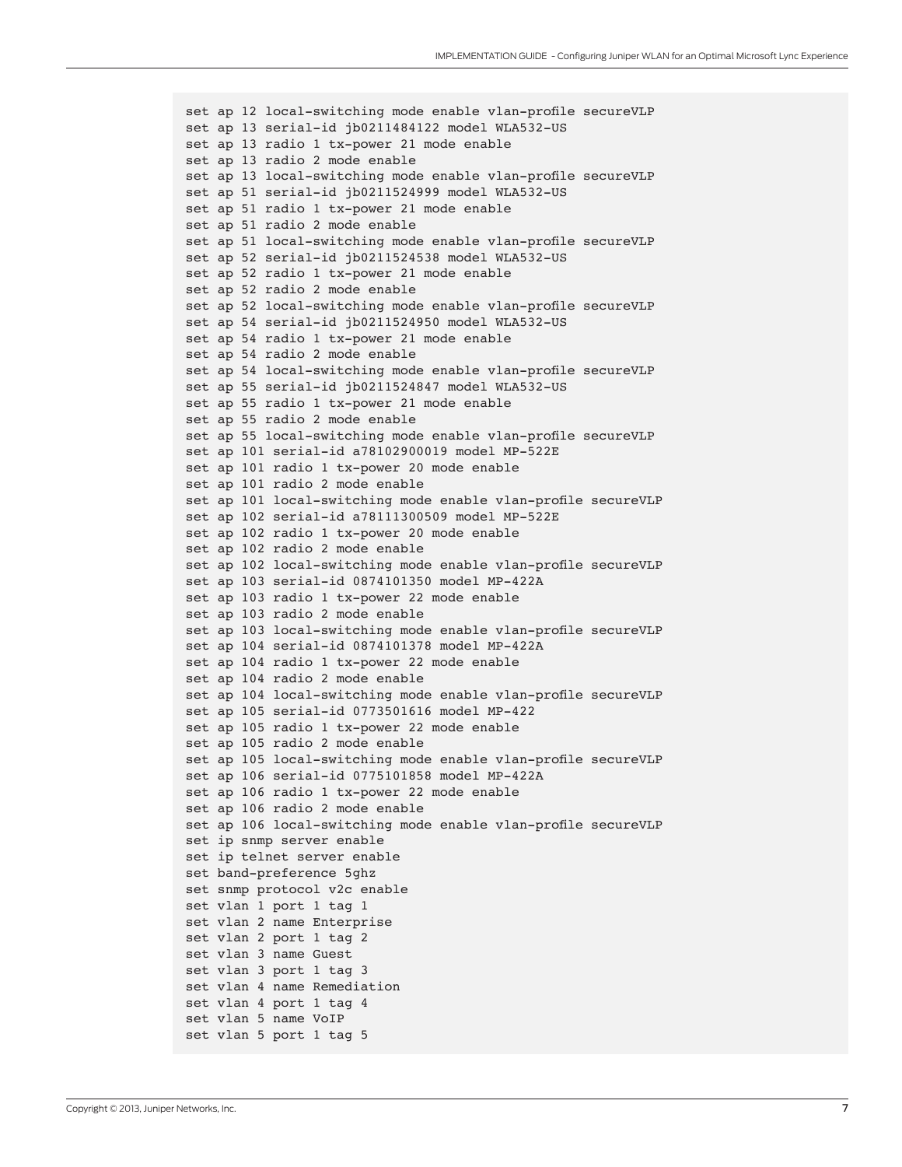```
set ap 12 local-switching mode enable vlan-profile secureVLP
set ap 13 serial-id jb0211484122 model WLA532-US 
set ap 13 radio 1 tx-power 21 mode enable
set ap 13 radio 2 mode enable
set ap 13 local-switching mode enable vlan-profile secureVLP
set ap 51 serial-id jb0211524999 model WLA532-US 
set ap 51 radio 1 tx-power 21 mode enable
set ap 51 radio 2 mode enable
set ap 51 local-switching mode enable vlan-profile secureVLP
set ap 52 serial-id jb0211524538 model WLA532-US 
set ap 52 radio 1 tx-power 21 mode enable
set ap 52 radio 2 mode enable
set ap 52 local-switching mode enable vlan-profile secureVLP
set ap 54 serial-id jb0211524950 model WLA532-US 
set ap 54 radio 1 tx-power 21 mode enable
set ap 54 radio 2 mode enable
set ap 54 local-switching mode enable vlan-profile secureVLP
set ap 55 serial-id jb0211524847 model WLA532-US 
set ap 55 radio 1 tx-power 21 mode enable
set ap 55 radio 2 mode enable
set ap 55 local-switching mode enable vlan-profile secureVLP
set ap 101 serial-id a78102900019 model MP-522E 
set ap 101 radio 1 tx-power 20 mode enable
set ap 101 radio 2 mode enable
set ap 101 local-switching mode enable vlan-profile secureVLP
set ap 102 serial-id a78111300509 model MP-522E 
set ap 102 radio 1 tx-power 20 mode enable
set ap 102 radio 2 mode enable
set ap 102 local-switching mode enable vlan-profile secureVLP
set ap 103 serial-id 0874101350 model MP-422A 
set ap 103 radio 1 tx-power 22 mode enable
set ap 103 radio 2 mode enable
set ap 103 local-switching mode enable vlan-profile secureVLP
set ap 104 serial-id 0874101378 model MP-422A 
set ap 104 radio 1 tx-power 22 mode enable
set ap 104 radio 2 mode enable
set ap 104 local-switching mode enable vlan-profile secureVLP
set ap 105 serial-id 0773501616 model MP-422 
set ap 105 radio 1 tx-power 22 mode enable
set ap 105 radio 2 mode enable 
set ap 105 local-switching mode enable vlan-profile secureVLP
set ap 106 serial-id 0775101858 model MP-422A 
set ap 106 radio 1 tx-power 22 mode enable
set ap 106 radio 2 mode enable
set ap 106 local-switching mode enable vlan-profile secureVLP
set ip snmp server enable
set ip telnet server enable
set band-preference 5ghz
set snmp protocol v2c enable
set vlan 1 port 1 tag 1
set vlan 2 name Enterprise
set vlan 2 port 1 tag 2
set vlan 3 name Guest
set vlan 3 port 1 tag 3
set vlan 4 name Remediation
set vlan 4 port 1 tag 4
set vlan 5 name VoIP
set vlan 5 port 1 tag 5
```